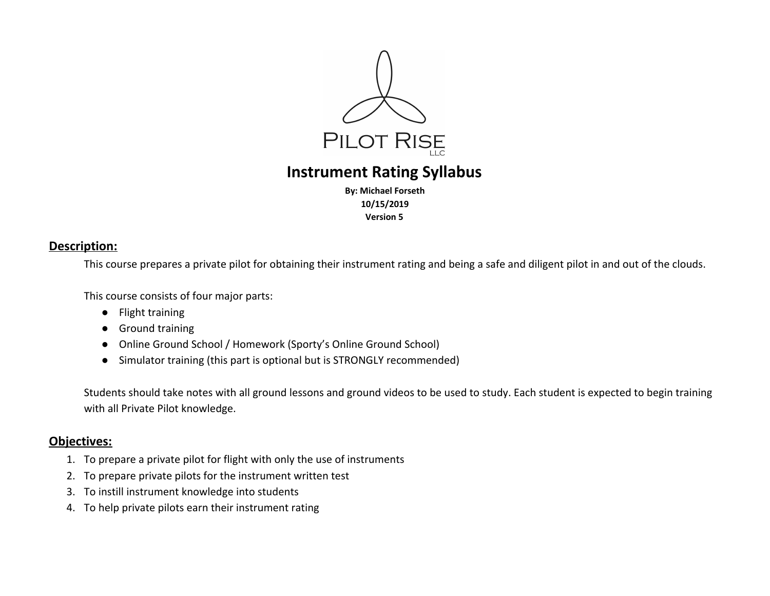

**Instrument Rating Syllabus**

**By: Michael Forseth 10/15/2019 Version 5**

# **Description:**

This course prepares a private pilot for obtaining their instrument rating and being a safe and diligent pilot in and out of the clouds.

This course consists of four major parts:

- Flight training
- Ground training
- Online Ground School / Homework (Sporty's Online Ground School)
- Simulator training (this part is optional but is STRONGLY recommended)

Students should take notes with all ground lessons and ground videos to be used to study. Each student is expected to begin training with all Private Pilot knowledge.

## **Objectives:**

- 1. To prepare a private pilot for flight with only the use of instruments
- 2. To prepare private pilots for the instrument written test
- 3. To instill instrument knowledge into students
- 4. To help private pilots earn their instrument rating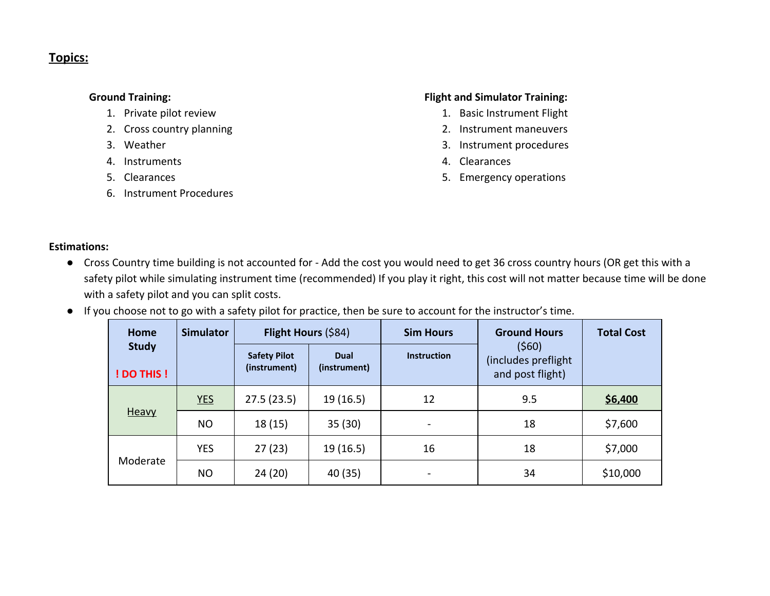### **Topics:**

#### **Ground Training:**

- 1. Private pilot review
- 2. Cross country planning
- 3. Weather
- 4. Instruments
- 5. Clearances
- 6. Instrument Procedures

#### **Flight and Simulator Training:**

- 1. Basic Instrument Flight
- 2. Instrument maneuvers
- 3. Instrument procedures
- 4. Clearances
- 5. Emergency operations

## **Estimations:**

- Cross Country time building is not accounted for Add the cost you would need to get 36 cross country hours (OR get this with a safety pilot while simulating instrument time (recommended) If you play it right, this cost will not matter because time will be done with a safety pilot and you can split costs.
- If you choose not to go with a safety pilot for practice, then be sure to account for the instructor's time.

| Home                       | <b>Simulator</b> | Flight Hours (\$84)                 |                             | <b>Sim Hours</b>         | <b>Ground Hours</b>                              | <b>Total Cost</b> |
|----------------------------|------------------|-------------------------------------|-----------------------------|--------------------------|--------------------------------------------------|-------------------|
| <b>Study</b><br>! DO THIS! |                  | <b>Safety Pilot</b><br>(instrument) | <b>Dual</b><br>(instrument) | <b>Instruction</b>       | (560)<br>(includes preflight<br>and post flight) |                   |
| <b>Heavy</b>               | <b>YES</b>       | 27.5(23.5)                          | 19(16.5)                    | 12                       | 9.5                                              | \$6,400           |
|                            | <b>NO</b>        | 18(15)                              | 35(30)                      | $\overline{\phantom{a}}$ | 18                                               | \$7,600           |
| Moderate                   | <b>YES</b>       | 27(23)                              | 19(16.5)                    | 16                       | 18                                               | \$7,000           |
|                            | <b>NO</b>        | 24 (20)                             | 40 (35)                     |                          | 34                                               | \$10,000          |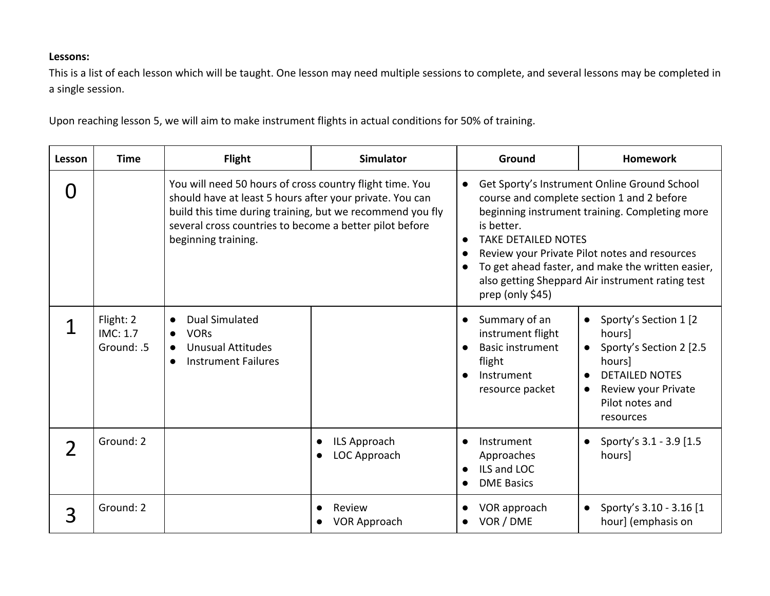#### **Lessons:**

This is a list of each lesson which will be taught. One lesson may need multiple sessions to complete, and several lessons may be completed in a single session.

Upon reaching lesson 5, we will aim to make instrument flights in actual conditions for 50% of training.

| Lesson | <b>Time</b>                         | <b>Flight</b>                                                                                                                                                                                                                                                       | <b>Simulator</b>              | Ground                                                                                                                                                                                                                                                                                                                                                                 | <b>Homework</b>                                                                                                                                                                               |
|--------|-------------------------------------|---------------------------------------------------------------------------------------------------------------------------------------------------------------------------------------------------------------------------------------------------------------------|-------------------------------|------------------------------------------------------------------------------------------------------------------------------------------------------------------------------------------------------------------------------------------------------------------------------------------------------------------------------------------------------------------------|-----------------------------------------------------------------------------------------------------------------------------------------------------------------------------------------------|
|        |                                     | You will need 50 hours of cross country flight time. You<br>should have at least 5 hours after your private. You can<br>build this time during training, but we recommend you fly<br>several cross countries to become a better pilot before<br>beginning training. |                               | Get Sporty's Instrument Online Ground School<br>course and complete section 1 and 2 before<br>beginning instrument training. Completing more<br>is better.<br><b>TAKE DETAILED NOTES</b><br>Review your Private Pilot notes and resources<br>To get ahead faster, and make the written easier,<br>also getting Sheppard Air instrument rating test<br>prep (only \$45) |                                                                                                                                                                                               |
|        | Flight: 2<br>IMC: 1.7<br>Ground: .5 | <b>Dual Simulated</b><br><b>VORs</b><br><b>Unusual Attitudes</b><br><b>Instrument Failures</b>                                                                                                                                                                      |                               | Summary of an<br>instrument flight<br><b>Basic instrument</b><br>flight<br>Instrument<br>resource packet                                                                                                                                                                                                                                                               | Sporty's Section 1 [2]<br>$\bullet$<br>hours]<br>Sporty's Section 2 [2.5]<br>hours]<br><b>DETAILED NOTES</b><br>$\bullet$<br>Review your Private<br>$\bullet$<br>Pilot notes and<br>resources |
|        | Ground: 2                           |                                                                                                                                                                                                                                                                     | ILS Approach<br>LOC Approach  | Instrument<br>Approaches<br>ILS and LOC<br>$\bullet$<br><b>DME Basics</b>                                                                                                                                                                                                                                                                                              | Sporty's 3.1 - 3.9 [1.5]<br>hours]                                                                                                                                                            |
| 3      | Ground: 2                           |                                                                                                                                                                                                                                                                     | Review<br><b>VOR Approach</b> | VOR approach<br>VOR / DME                                                                                                                                                                                                                                                                                                                                              | Sporty's 3.10 - 3.16 [1<br>$\bullet$<br>hour] (emphasis on                                                                                                                                    |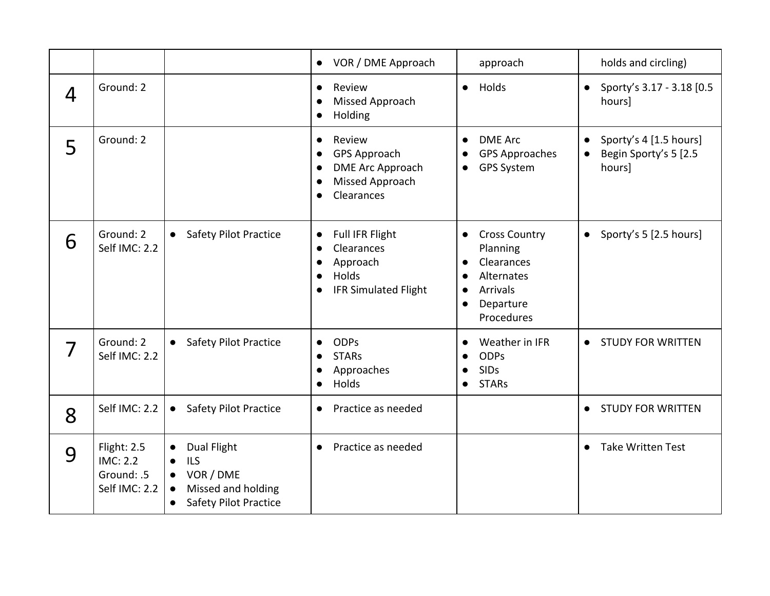|   |                                                               |                                                                                                                                                               | VOR / DME Approach                                                                                          | approach                                                                                                                                                | holds and circling)                                                    |
|---|---------------------------------------------------------------|---------------------------------------------------------------------------------------------------------------------------------------------------------------|-------------------------------------------------------------------------------------------------------------|---------------------------------------------------------------------------------------------------------------------------------------------------------|------------------------------------------------------------------------|
| 4 | Ground: 2                                                     |                                                                                                                                                               | Review<br>Missed Approach<br>Holding                                                                        | Holds<br>$\bullet$                                                                                                                                      | Sporty's 3.17 - 3.18 [0.5<br>$\bullet$<br>hours]                       |
| 5 | Ground: 2                                                     |                                                                                                                                                               | Review<br>$\bullet$<br><b>GPS Approach</b><br>DME Arc Approach<br>Missed Approach<br>Clearances             | <b>DME Arc</b><br>$\bullet$<br><b>GPS Approaches</b><br><b>GPS System</b>                                                                               | Sporty's 4 [1.5 hours]<br>$\bullet$<br>Begin Sporty's 5 [2.5<br>hours] |
| 6 | Ground: 2<br>Self IMC: 2.2                                    | <b>Safety Pilot Practice</b><br>$\bullet$                                                                                                                     | Full IFR Flight<br>Clearances<br>Approach<br>Holds<br>$\bullet$<br><b>IFR Simulated Flight</b><br>$\bullet$ | <b>Cross Country</b><br>$\bullet$<br>Planning<br>Clearances<br>Alternates<br>$\bullet$<br>Arrivals<br>$\bullet$<br>Departure<br>$\bullet$<br>Procedures | • Sporty's $5$ [2.5 hours]                                             |
| 7 | Ground: 2<br>Self IMC: 2.2                                    | <b>Safety Pilot Practice</b><br>$\bullet$                                                                                                                     | <b>ODPs</b><br><b>STARs</b><br>Approaches<br>Holds                                                          | Weather in IFR<br><b>ODPs</b><br><b>SIDs</b><br><b>STARs</b>                                                                                            | <b>STUDY FOR WRITTEN</b>                                               |
| 8 | Self IMC: 2.2                                                 | • Safety Pilot Practice                                                                                                                                       | Practice as needed<br>$\bullet$                                                                             |                                                                                                                                                         | <b>STUDY FOR WRITTEN</b><br>$\bullet$                                  |
| 9 | Flight: 2.5<br><b>IMC: 2.2</b><br>Ground: .5<br>Self IMC: 2.2 | <b>Dual Flight</b><br>$\bullet$<br><b>ILS</b><br>$\bullet$<br>VOR / DME<br>$\bullet$<br>Missed and holding<br>$\bullet$<br>Safety Pilot Practice<br>$\bullet$ | Practice as needed                                                                                          |                                                                                                                                                         | <b>Take Written Test</b><br>$\bullet$                                  |